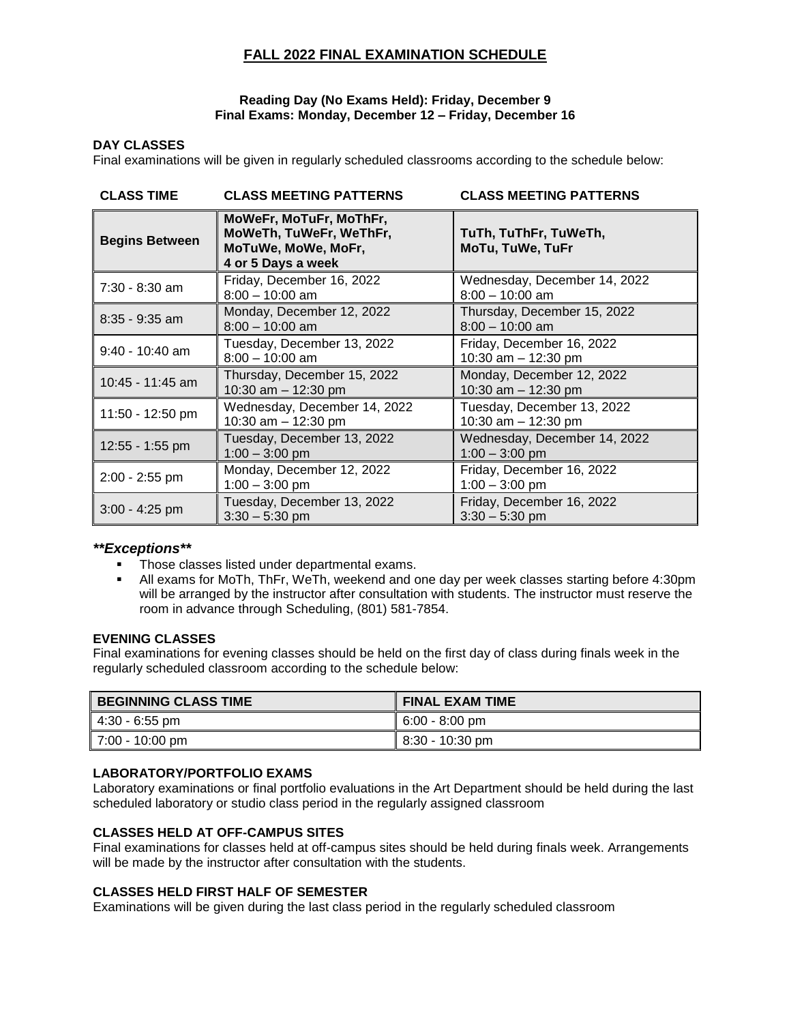# **FALL 2022 FINAL EXAMINATION SCHEDULE**

#### **Reading Day (No Exams Held): Friday, December 9 Final Exams: Monday, December 12 – Friday, December 16**

#### **DAY CLASSES**

Final examinations will be given in regularly scheduled classrooms according to the schedule below:

| <b>CLASS TIME</b>     | <b>CLASS MEETING PATTERNS</b>                                                                   | <b>CLASS MEETING PATTERNS</b>                       |  |
|-----------------------|-------------------------------------------------------------------------------------------------|-----------------------------------------------------|--|
| <b>Begins Between</b> | MoWeFr, MoTuFr, MoThFr,<br>MoWeTh, TuWeFr, WeThFr,<br>MoTuWe, MoWe, MoFr,<br>4 or 5 Days a week | TuTh, TuThFr, TuWeTh,<br>MoTu, TuWe, TuFr           |  |
| $7:30 - 8:30$ am      | Friday, December 16, 2022<br>$8:00 - 10:00$ am                                                  | Wednesday, December 14, 2022<br>$8:00 - 10:00$ am   |  |
| $8:35 - 9:35$ am      | Monday, December 12, 2022<br>$8:00 - 10:00$ am                                                  | Thursday, December 15, 2022<br>$8:00 - 10:00$ am    |  |
| $9:40 - 10:40$ am     | Tuesday, December 13, 2022<br>$8:00 - 10:00$ am                                                 | Friday, December 16, 2022<br>10:30 am $-$ 12:30 pm  |  |
| 10:45 - 11:45 am      | Thursday, December 15, 2022<br>10:30 am - 12:30 pm                                              | Monday, December 12, 2022<br>10:30 am - 12:30 pm    |  |
| 11:50 - 12:50 pm      | Wednesday, December 14, 2022<br>10:30 am $-$ 12:30 pm                                           | Tuesday, December 13, 2022<br>10:30 am $-$ 12:30 pm |  |
| 12:55 - 1:55 pm       | Tuesday, December 13, 2022<br>$1:00 - 3:00$ pm                                                  | Wednesday, December 14, 2022<br>$1:00 - 3:00$ pm    |  |
| $2:00 - 2:55$ pm      | Monday, December 12, 2022<br>$1:00 - 3:00$ pm                                                   | Friday, December 16, 2022<br>$1:00 - 3:00$ pm       |  |
| $3:00 - 4:25$ pm      | Tuesday, December 13, 2022<br>$3:30 - 5:30$ pm                                                  | Friday, December 16, 2022<br>$3:30 - 5:30$ pm       |  |

## *\*\*Exceptions\*\**

- **Those classes listed under departmental exams.**
- All exams for MoTh, ThFr, WeTh, weekend and one day per week classes starting before 4:30pm will be arranged by the instructor after consultation with students. The instructor must reserve the room in advance through Scheduling, (801) 581-7854.

#### **EVENING CLASSES**

Final examinations for evening classes should be held on the first day of class during finals week in the regularly scheduled classroom according to the schedule below:

| <b>BEGINNING CLASS TIME</b> | <b>FINAL EXAM TIME</b> |
|-----------------------------|------------------------|
| ∥ 4:30 - 6:55 pm            | $6:00 - 8:00$ pm       |
| $\vert$ 7:00 - 10:00 pm     | $8:30 - 10:30$ pm      |

## **LABORATORY/PORTFOLIO EXAMS**

Laboratory examinations or final portfolio evaluations in the Art Department should be held during the last scheduled laboratory or studio class period in the regularly assigned classroom

## **CLASSES HELD AT OFF-CAMPUS SITES**

Final examinations for classes held at off-campus sites should be held during finals week. Arrangements will be made by the instructor after consultation with the students.

#### **CLASSES HELD FIRST HALF OF SEMESTER**

Examinations will be given during the last class period in the regularly scheduled classroom